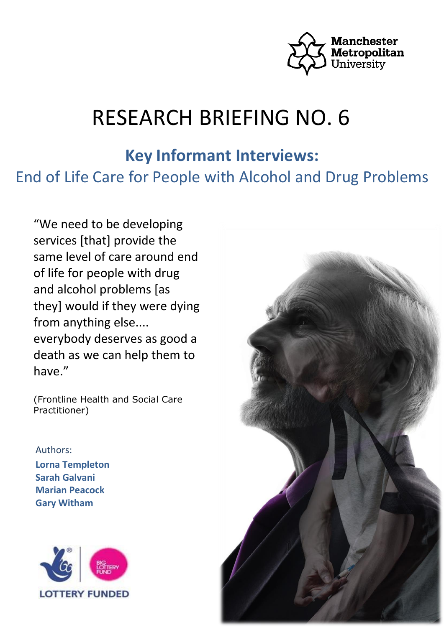

# RESEARCH BRIEFING NO. 6

## **Key Informant Interviews:**

End of Life Care for People with Alcohol and Drug Problems

"We need to be developing services [that] provide the same level of care around end of life for people with drug and alcohol problems [as they] would if they were dying from anything else.... everybody deserves as good a death as we can help them to have."

(Frontline Health and Social Care Practitioner)

Authors: **Lorna Templeton Sarah Galvani Marian Peacock Gary Witham**



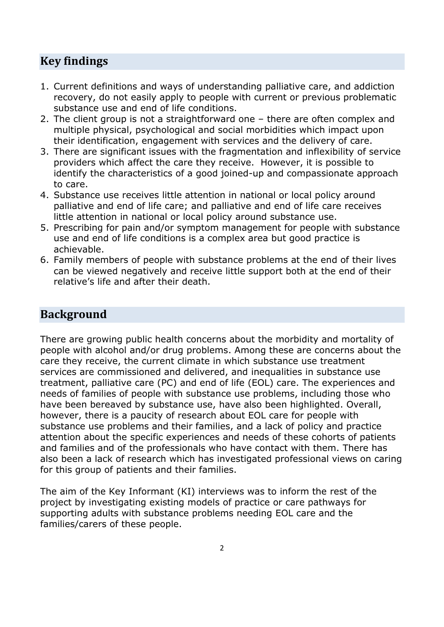## **Key findings**

- 1. Current definitions and ways of understanding palliative care, and addiction recovery, do not easily apply to people with current or previous problematic substance use and end of life conditions.
- 2. The client group is not a straightforward one there are often complex and multiple physical, psychological and social morbidities which impact upon their identification, engagement with services and the delivery of care.
- 3. There are significant issues with the fragmentation and inflexibility of service providers which affect the care they receive. However, it is possible to identify the characteristics of a good joined-up and compassionate approach to care.
- 4. Substance use receives little attention in national or local policy around palliative and end of life care; and palliative and end of life care receives little attention in national or local policy around substance use.
- 5. Prescribing for pain and/or symptom management for people with substance use and end of life conditions is a complex area but good practice is achievable.
- 6. Family members of people with substance problems at the end of their lives can be viewed negatively and receive little support both at the end of their relative's life and after their death.

## **Background**

There are growing public health concerns about the morbidity and mortality of people with alcohol and/or drug problems. Among these are concerns about the care they receive, the current climate in which substance use treatment services are commissioned and delivered, and inequalities in substance use treatment, palliative care (PC) and end of life (EOL) care. The experiences and needs of families of people with substance use problems, including those who have been bereaved by substance use, have also been highlighted. Overall, however, there is a paucity of research about EOL care for people with substance use problems and their families, and a lack of policy and practice attention about the specific experiences and needs of these cohorts of patients and families and of the professionals who have contact with them. There has also been a lack of research which has investigated professional views on caring for this group of patients and their families.

The aim of the Key Informant (KI) interviews was to inform the rest of the project by investigating existing models of practice or care pathways for supporting adults with substance problems needing EOL care and the families/carers of these people.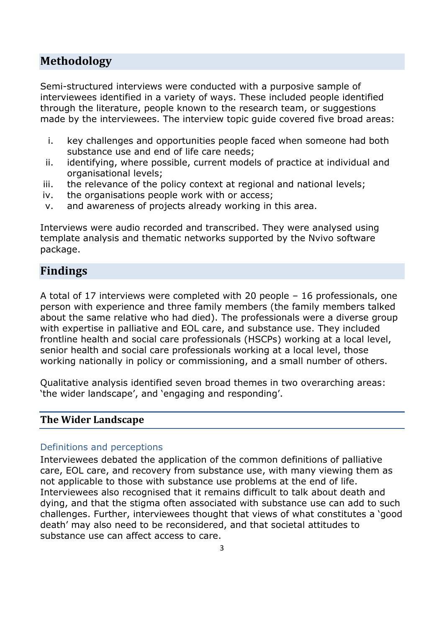## **Methodology**

Semi-structured interviews were conducted with a purposive sample of interviewees identified in a variety of ways. These included people identified through the literature, people known to the research team, or suggestions made by the interviewees. The interview topic guide covered five broad areas:

- i. key challenges and opportunities people faced when someone had both substance use and end of life care needs;
- ii. identifying, where possible, current models of practice at individual and organisational levels;
- iii. the relevance of the policy context at regional and national levels;
- iv. the organisations people work with or access;
- v. and awareness of projects already working in this area.

Interviews were audio recorded and transcribed. They were analysed using template analysis and thematic networks supported by the Nvivo software package.

## **Findings**

A total of 17 interviews were completed with 20 people – 16 professionals, one person with experience and three family members (the family members talked about the same relative who had died). The professionals were a diverse group with expertise in palliative and EOL care, and substance use. They included frontline health and social care professionals (HSCPs) working at a local level, senior health and social care professionals working at a local level, those working nationally in policy or commissioning, and a small number of others.

Qualitative analysis identified seven broad themes in two overarching areas: 'the wider landscape', and 'engaging and responding'.

#### **The Wider Landscape**

#### Definitions and perceptions

Interviewees debated the application of the common definitions of palliative care, EOL care, and recovery from substance use, with many viewing them as not applicable to those with substance use problems at the end of life. Interviewees also recognised that it remains difficult to talk about death and dying, and that the stigma often associated with substance use can add to such challenges. Further, interviewees thought that views of what constitutes a 'good death' may also need to be reconsidered, and that societal attitudes to substance use can affect access to care.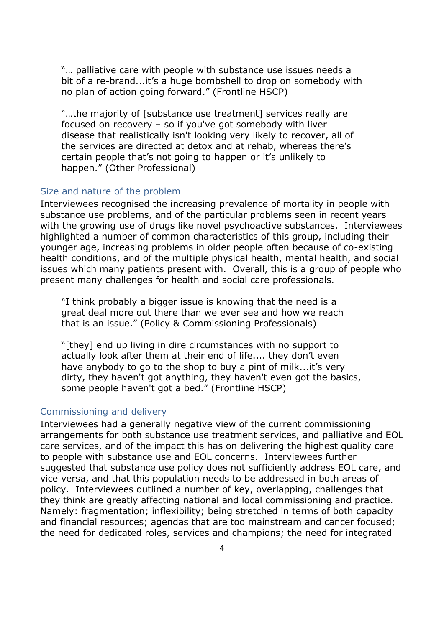"… palliative care with people with substance use issues needs a bit of a re-brand...it's a huge bombshell to drop on somebody with no plan of action going forward." (Frontline HSCP)

"…the majority of [substance use treatment] services really are focused on recovery – so if you've got somebody with liver disease that realistically isn't looking very likely to recover, all of the services are directed at detox and at rehab, whereas there's certain people that's not going to happen or it's unlikely to happen." (Other Professional)

#### Size and nature of the problem

Interviewees recognised the increasing prevalence of mortality in people with substance use problems, and of the particular problems seen in recent years with the growing use of drugs like novel psychoactive substances. Interviewees highlighted a number of common characteristics of this group, including their younger age, increasing problems in older people often because of co-existing health conditions, and of the multiple physical health, mental health, and social issues which many patients present with. Overall, this is a group of people who present many challenges for health and social care professionals.

"I think probably a bigger issue is knowing that the need is a great deal more out there than we ever see and how we reach that is an issue." (Policy & Commissioning Professionals)

"[they] end up living in dire circumstances with no support to actually look after them at their end of life.... they don't even have anybody to go to the shop to buy a pint of milk...it's very dirty, they haven't got anything, they haven't even got the basics, some people haven't got a bed." (Frontline HSCP)

#### Commissioning and delivery

Interviewees had a generally negative view of the current commissioning arrangements for both substance use treatment services, and palliative and EOL care services, and of the impact this has on delivering the highest quality care to people with substance use and EOL concerns. Interviewees further suggested that substance use policy does not sufficiently address EOL care, and vice versa, and that this population needs to be addressed in both areas of policy. Interviewees outlined a number of key, overlapping, challenges that they think are greatly affecting national and local commissioning and practice. Namely: fragmentation; inflexibility; being stretched in terms of both capacity and financial resources; agendas that are too mainstream and cancer focused; the need for dedicated roles, services and champions; the need for integrated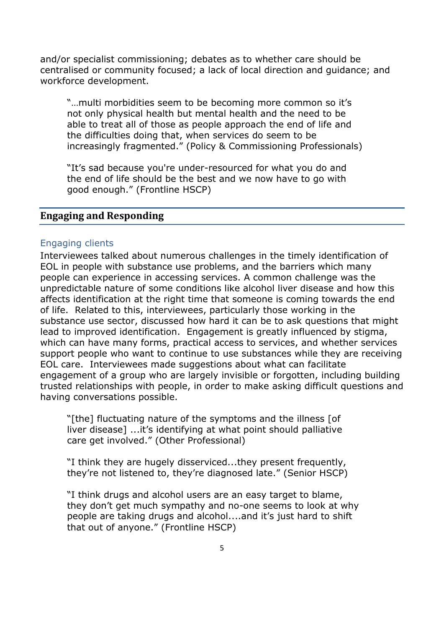and/or specialist commissioning; debates as to whether care should be centralised or community focused; a lack of local direction and guidance; and workforce development.

"…multi morbidities seem to be becoming more common so it's not only physical health but mental health and the need to be able to treat all of those as people approach the end of life and the difficulties doing that, when services do seem to be increasingly fragmented." (Policy & Commissioning Professionals)

"It's sad because you're under-resourced for what you do and the end of life should be the best and we now have to go with good enough." (Frontline HSCP)

#### **Engaging and Responding**

#### Engaging clients

Interviewees talked about numerous challenges in the timely identification of EOL in people with substance use problems, and the barriers which many people can experience in accessing services. A common challenge was the unpredictable nature of some conditions like alcohol liver disease and how this affects identification at the right time that someone is coming towards the end of life. Related to this, interviewees, particularly those working in the substance use sector, discussed how hard it can be to ask questions that might lead to improved identification. Engagement is greatly influenced by stigma, which can have many forms, practical access to services, and whether services support people who want to continue to use substances while they are receiving EOL care. Interviewees made suggestions about what can facilitate engagement of a group who are largely invisible or forgotten, including building trusted relationships with people, in order to make asking difficult questions and having conversations possible.

"[the] fluctuating nature of the symptoms and the illness [of liver disease] ...it's identifying at what point should palliative care get involved." (Other Professional)

"I think they are hugely disserviced...they present frequently, they're not listened to, they're diagnosed late." (Senior HSCP)

"I think drugs and alcohol users are an easy target to blame, they don't get much sympathy and no-one seems to look at why people are taking drugs and alcohol....and it's just hard to shift that out of anyone." (Frontline HSCP)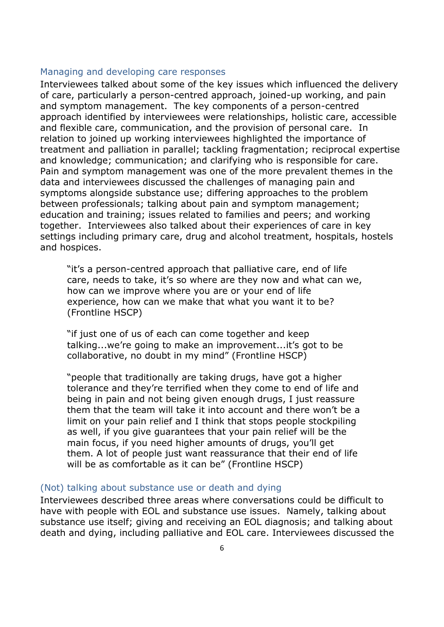#### Managing and developing care responses

Interviewees talked about some of the key issues which influenced the delivery of care, particularly a person-centred approach, joined-up working, and pain and symptom management. The key components of a person-centred approach identified by interviewees were relationships, holistic care, accessible and flexible care, communication, and the provision of personal care. In relation to joined up working interviewees highlighted the importance of treatment and palliation in parallel; tackling fragmentation; reciprocal expertise and knowledge; communication; and clarifying who is responsible for care. Pain and symptom management was one of the more prevalent themes in the data and interviewees discussed the challenges of managing pain and symptoms alongside substance use; differing approaches to the problem between professionals; talking about pain and symptom management; education and training; issues related to families and peers; and working together. Interviewees also talked about their experiences of care in key settings including primary care, drug and alcohol treatment, hospitals, hostels and hospices.

"it's a person-centred approach that palliative care, end of life care, needs to take, it's so where are they now and what can we, how can we improve where you are or your end of life experience, how can we make that what you want it to be? (Frontline HSCP)

"if just one of us of each can come together and keep talking...we're going to make an improvement...it's got to be collaborative, no doubt in my mind" (Frontline HSCP)

"people that traditionally are taking drugs, have got a higher tolerance and they're terrified when they come to end of life and being in pain and not being given enough drugs, I just reassure them that the team will take it into account and there won't be a limit on your pain relief and I think that stops people stockpiling as well, if you give guarantees that your pain relief will be the main focus, if you need higher amounts of drugs, you'll get them. A lot of people just want reassurance that their end of life will be as comfortable as it can be" (Frontline HSCP)

#### (Not) talking about substance use or death and dying

Interviewees described three areas where conversations could be difficult to have with people with EOL and substance use issues. Namely, talking about substance use itself; giving and receiving an EOL diagnosis; and talking about death and dying, including palliative and EOL care. Interviewees discussed the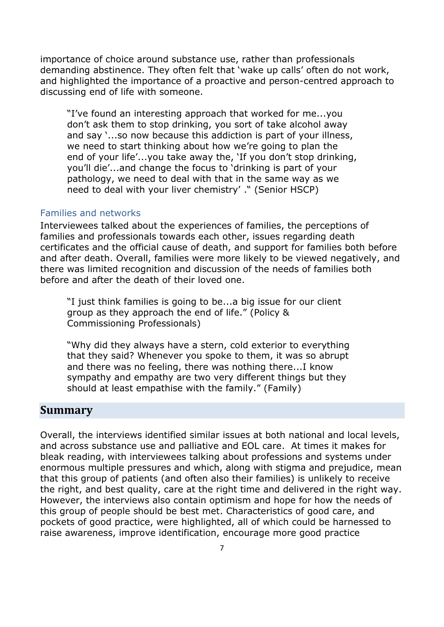importance of choice around substance use, rather than professionals demanding abstinence. They often felt that 'wake up calls' often do not work, and highlighted the importance of a proactive and person-centred approach to discussing end of life with someone.

"I've found an interesting approach that worked for me...you don't ask them to stop drinking, you sort of take alcohol away and say '...so now because this addiction is part of your illness, we need to start thinking about how we're going to plan the end of your life'...you take away the, 'If you don't stop drinking, you'll die'...and change the focus to 'drinking is part of your pathology, we need to deal with that in the same way as we need to deal with your liver chemistry' ." (Senior HSCP)

#### Families and networks

Interviewees talked about the experiences of families, the perceptions of families and professionals towards each other, issues regarding death certificates and the official cause of death, and support for families both before and after death. Overall, families were more likely to be viewed negatively, and there was limited recognition and discussion of the needs of families both before and after the death of their loved one.

"I just think families is going to be...a big issue for our client group as they approach the end of life." (Policy & Commissioning Professionals)

"Why did they always have a stern, cold exterior to everything that they said? Whenever you spoke to them, it was so abrupt and there was no feeling, there was nothing there...I know sympathy and empathy are two very different things but they should at least empathise with the family." (Family)

#### **Summary**

Overall, the interviews identified similar issues at both national and local levels, and across substance use and palliative and EOL care. At times it makes for bleak reading, with interviewees talking about professions and systems under enormous multiple pressures and which, along with stigma and prejudice, mean that this group of patients (and often also their families) is unlikely to receive the right, and best quality, care at the right time and delivered in the right way. However, the interviews also contain optimism and hope for how the needs of this group of people should be best met. Characteristics of good care, and pockets of good practice, were highlighted, all of which could be harnessed to raise awareness, improve identification, encourage more good practice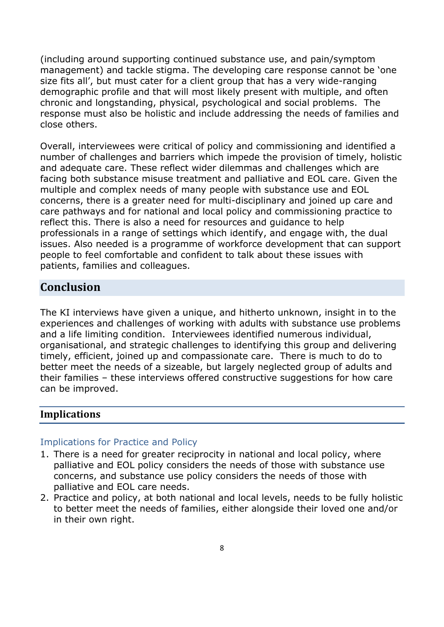(including around supporting continued substance use, and pain/symptom management) and tackle stigma. The developing care response cannot be 'one size fits all', but must cater for a client group that has a very wide-ranging demographic profile and that will most likely present with multiple, and often chronic and longstanding, physical, psychological and social problems. The response must also be holistic and include addressing the needs of families and close others.

Overall, interviewees were critical of policy and commissioning and identified a number of challenges and barriers which impede the provision of timely, holistic and adequate care. These reflect wider dilemmas and challenges which are facing both substance misuse treatment and palliative and EOL care. Given the multiple and complex needs of many people with substance use and EOL concerns, there is a greater need for multi-disciplinary and joined up care and care pathways and for national and local policy and commissioning practice to reflect this. There is also a need for resources and guidance to help professionals in a range of settings which identify, and engage with, the dual issues. Also needed is a programme of workforce development that can support people to feel comfortable and confident to talk about these issues with patients, families and colleagues.

## **Conclusion**

The KI interviews have given a unique, and hitherto unknown, insight in to the experiences and challenges of working with adults with substance use problems and a life limiting condition. Interviewees identified numerous individual, organisational, and strategic challenges to identifying this group and delivering timely, efficient, joined up and compassionate care. There is much to do to better meet the needs of a sizeable, but largely neglected group of adults and their families – these interviews offered constructive suggestions for how care can be improved.

#### **Implications**

#### Implications for Practice and Policy

- 1. There is a need for greater reciprocity in national and local policy, where palliative and EOL policy considers the needs of those with substance use concerns, and substance use policy considers the needs of those with palliative and EOL care needs.
- 2. Practice and policy, at both national and local levels, needs to be fully holistic to better meet the needs of families, either alongside their loved one and/or in their own right.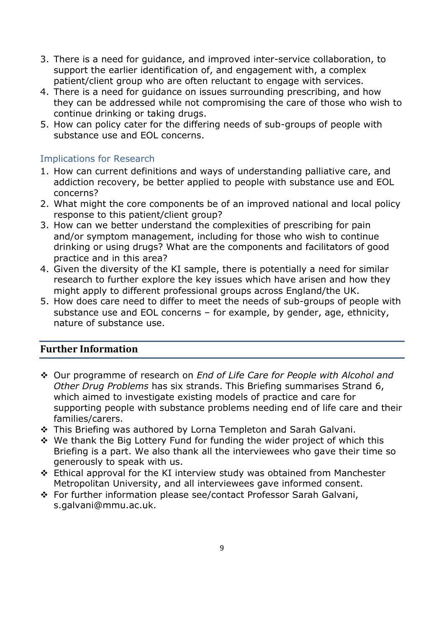- 3. There is a need for guidance, and improved inter-service collaboration, to support the earlier identification of, and engagement with, a complex patient/client group who are often reluctant to engage with services.
- 4. There is a need for guidance on issues surrounding prescribing, and how they can be addressed while not compromising the care of those who wish to continue drinking or taking drugs.
- 5. How can policy cater for the differing needs of sub-groups of people with substance use and EOL concerns.

### Implications for Research

- 1. How can current definitions and ways of understanding palliative care, and addiction recovery, be better applied to people with substance use and EOL concerns?
- 2. What might the core components be of an improved national and local policy response to this patient/client group?
- 3. How can we better understand the complexities of prescribing for pain and/or symptom management, including for those who wish to continue drinking or using drugs? What are the components and facilitators of good practice and in this area?
- 4. Given the diversity of the KI sample, there is potentially a need for similar research to further explore the key issues which have arisen and how they might apply to different professional groups across England/the UK.
- 5. How does care need to differ to meet the needs of sub-groups of people with substance use and EOL concerns – for example, by gender, age, ethnicity, nature of substance use.

## **Further Information**

- ❖ Our programme of research on *End of Life Care for People with Alcohol and Other Drug Problems* has six strands. This Briefing summarises Strand 6, which aimed to investigate existing models of practice and care for supporting people with substance problems needing end of life care and their families/carers.
- ❖ This Briefing was authored by Lorna Templeton and Sarah Galvani.
- ❖ We thank the Big Lottery Fund for funding the wider project of which this Briefing is a part. We also thank all the interviewees who gave their time so generously to speak with us.
- ❖ Ethical approval for the KI interview study was obtained from Manchester Metropolitan University, and all interviewees gave informed consent.
- ❖ For further information please see/contact Professor Sarah Galvani, s.galvani@mmu.ac.uk.